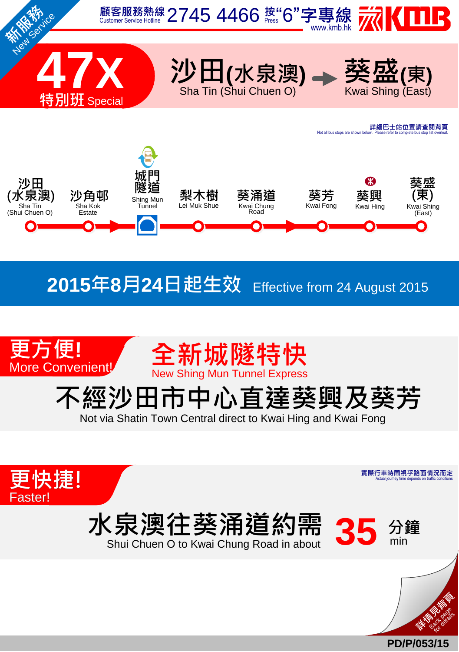

## **2015**年**8**月**24**日起生效 Effective from <sup>24</sup> August <sup>2015</sup>